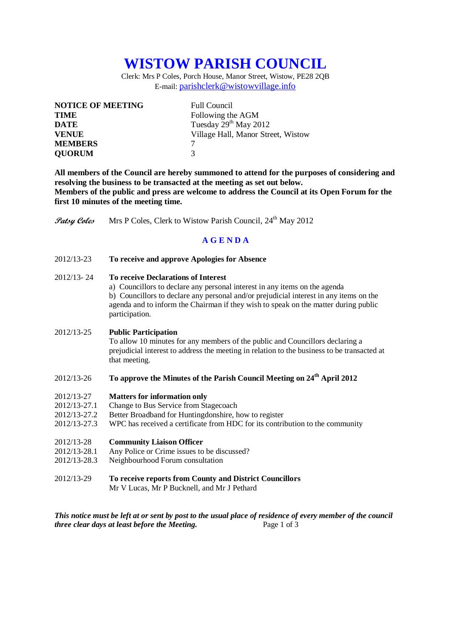# **WISTOW PARISH COUNCIL**

Clerk: Mrs P Coles, Porch House, Manor Street, Wistow, PE28 2QB E-mail: [parishclerk@wistowvillage.info](mailto:parishclerk@wistowvillage.info)

| <b>NOTICE OF MEETING</b> | <b>Full Council</b>                |
|--------------------------|------------------------------------|
| <b>TIME</b>              | Following the AGM                  |
| <b>DATE</b>              | Tuesday 29 <sup>th</sup> May 2012  |
| <b>VENUE</b>             | Village Hall, Manor Street, Wistow |
| <b>MEMBERS</b>           |                                    |
| <b>QUORUM</b>            | 3                                  |

**All members of the Council are hereby summoned to attend for the purposes of considering and resolving the business to be transacted at the meeting as set out below. Members of the public and press are welcome to address the Council at its Open Forum for the first 10 minutes of the meeting time.**

**Patsy Coles** Mrs P Coles, Clerk to Wistow Parish Council, 24<sup>th</sup> May 2012

# **A G E N D A**

2012/13-23 **To receive and approve Apologies for Absence**

### 2012/13- 24 **To receive Declarations of Interest**

a) Councillors to declare any personal interest in any items on the agenda b) Councillors to declare any personal and/or prejudicial interest in any items on the agenda and to inform the Chairman if they wish to speak on the matter during public participation.

#### 2012/13-25 **Public Participation**

To allow 10 minutes for any members of the public and Councillors declaring a prejudicial interest to address the meeting in relation to the business to be transacted at that meeting.

## 2012/13-26 **To approve the Minutes of the Parish Council Meeting on 24 th April 2012**

- 2012/13-27 **Matters for information only**
- 2012/13-27.1 Change to Bus Service from Stagecoach
- 2012/13-27.2 Better Broadband for Huntingdonshire, how to register
- 2012/13-27.3 WPC has received a certificate from HDC for its contribution to the community

#### 2012/13-28 **Community Liaison Officer**

- 2012/13-28.1 Any Police or Crime issues to be discussed?
- 2012/13-28.3 Neighbourhood Forum consultation
- 2012/13-29 **To receive reports from County and District Councillors**

Mr V Lucas, Mr P Bucknell, and Mr J Pethard

*This notice must be left at or sent by post to the usual place of residence of every member of the council three clear days at least before the Meeting.* Page 1 of 3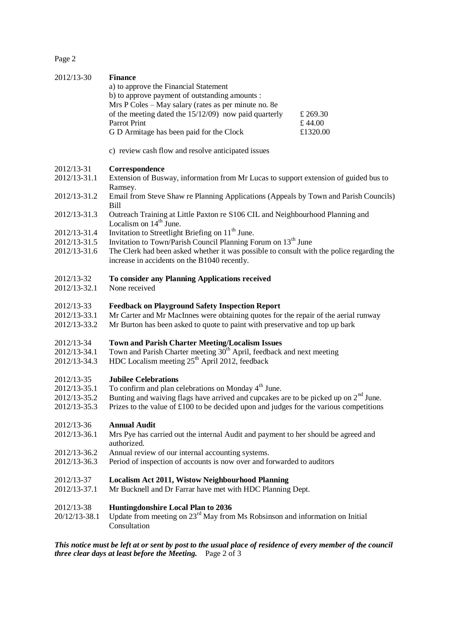Page 2

| 2012/13-30                                                                                                                                                              | <b>Finance</b><br>a) to approve the Financial Statement<br>b) to approve payment of outstanding amounts :                                                           |                    |  |
|-------------------------------------------------------------------------------------------------------------------------------------------------------------------------|---------------------------------------------------------------------------------------------------------------------------------------------------------------------|--------------------|--|
|                                                                                                                                                                         | Mrs P Coles - May salary (rates as per minute no. 8e                                                                                                                |                    |  |
|                                                                                                                                                                         | of the meeting dated the $15/12/09$ now paid quarterly<br>Parrot Print                                                                                              | £ 269.30<br>£44.00 |  |
|                                                                                                                                                                         | G D Armitage has been paid for the Clock                                                                                                                            | £1320.00           |  |
|                                                                                                                                                                         | c) review cash flow and resolve anticipated issues                                                                                                                  |                    |  |
| 2012/13-31                                                                                                                                                              | Correspondence                                                                                                                                                      |                    |  |
| 2012/13-31.1                                                                                                                                                            | Extension of Busway, information from Mr Lucas to support extension of guided bus to<br>Ramsey.                                                                     |                    |  |
| 2012/13-31.2                                                                                                                                                            | Email from Steve Shaw re Planning Applications (Appeals by Town and Parish Councils)<br><b>Bill</b>                                                                 |                    |  |
| 2012/13-31.3                                                                                                                                                            | Outreach Training at Little Paxton re S106 CIL and Neighbourhood Planning and<br>Localism on $14th$ June.                                                           |                    |  |
| 2012/13-31.4                                                                                                                                                            | Invitation to Streetlight Briefing on 11 <sup>th</sup> June.                                                                                                        |                    |  |
| 2012/13-31.5                                                                                                                                                            | Invitation to Town/Parish Council Planning Forum on 13 <sup>th</sup> June                                                                                           |                    |  |
| 2012/13-31.6                                                                                                                                                            | The Clerk had been asked whether it was possible to consult with the police regarding the<br>increase in accidents on the B1040 recently.                           |                    |  |
| 2012/13-32                                                                                                                                                              | To consider any Planning Applications received                                                                                                                      |                    |  |
| 2012/13-32.1                                                                                                                                                            | None received                                                                                                                                                       |                    |  |
| 2012/13-33                                                                                                                                                              | <b>Feedback on Playground Safety Inspection Report</b>                                                                                                              |                    |  |
| 2012/13-33.1<br>2012/13-33.2                                                                                                                                            | Mr Carter and Mr MacInnes were obtaining quotes for the repair of the aerial runway<br>Mr Burton has been asked to quote to paint with preservative and top up bark |                    |  |
| 2012/13-34                                                                                                                                                              | <b>Town and Parish Charter Meeting/Localism Issues</b>                                                                                                              |                    |  |
| 2012/13-34.1                                                                                                                                                            | Town and Parish Charter meeting 30 <sup>th</sup> April, feedback and next meeting                                                                                   |                    |  |
| 2012/13-34.3                                                                                                                                                            | HDC Localism meeting $25th$ April 2012, feedback                                                                                                                    |                    |  |
| 2012/13-35<br>2012/13-35.1                                                                                                                                              | <b>Jubilee Celebrations</b><br>To confirm and plan celebrations on Monday 4 <sup>th</sup> June.                                                                     |                    |  |
| 2012/13-35.2                                                                                                                                                            | Bunting and waiving flags have arrived and cupcakes are to be picked up on $2nd$ June.                                                                              |                    |  |
| 2012/13-35.3                                                                                                                                                            | Prizes to the value of £100 to be decided upon and judges for the various competitions                                                                              |                    |  |
| 2012/13-36                                                                                                                                                              | <b>Annual Audit</b>                                                                                                                                                 |                    |  |
| 2012/13-36.1                                                                                                                                                            | Mrs Pye has carried out the internal Audit and payment to her should be agreed and<br>authorized.                                                                   |                    |  |
| 2012/13-36.2                                                                                                                                                            | Annual review of our internal accounting systems.                                                                                                                   |                    |  |
| 2012/13-36.3                                                                                                                                                            | Period of inspection of accounts is now over and forwarded to auditors                                                                                              |                    |  |
| 2012/13-37<br>2012/13-37.1                                                                                                                                              | <b>Localism Act 2011, Wistow Neighbourhood Planning</b><br>Mr Bucknell and Dr Farrar have met with HDC Planning Dept.                                               |                    |  |
| 2012/13-38                                                                                                                                                              | Huntingdonshire Local Plan to 2036                                                                                                                                  |                    |  |
| 20/12/13-38.1                                                                                                                                                           | Update from meeting on 23 <sup>rd</sup> May from Ms Robsinson and information on Initial<br>Consultation                                                            |                    |  |
| This notice must be left at or sent by post to the usual place of residence of every member of the council<br>three clear days at least before the Meeting. Page 2 of 3 |                                                                                                                                                                     |                    |  |